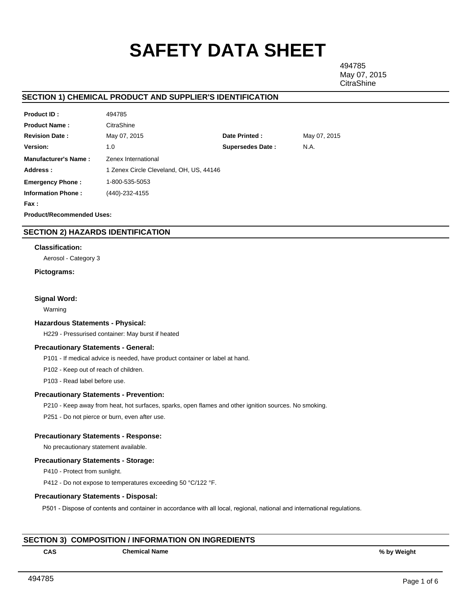# **SAFETY DATA SHEET**

494785 May 07, 2015 **CitraShine** 

# **SECTION 1) CHEMICAL PRODUCT AND SUPPLIER'S IDENTIFICATION**

| <b>Product ID:</b>               | 494785                                  |                         |              |  |  |  |
|----------------------------------|-----------------------------------------|-------------------------|--------------|--|--|--|
| <b>Product Name:</b>             | CitraShine                              |                         |              |  |  |  |
| <b>Revision Date:</b>            | May 07, 2015                            | Date Printed:           | May 07, 2015 |  |  |  |
| <b>Version:</b>                  | 1.0                                     | <b>Supersedes Date:</b> | N.A.         |  |  |  |
| <b>Manufacturer's Name:</b>      | Zenex International                     |                         |              |  |  |  |
| Address:                         | 1 Zenex Circle Cleveland, OH, US, 44146 |                         |              |  |  |  |
| <b>Emergency Phone:</b>          | 1-800-535-5053                          |                         |              |  |  |  |
| <b>Information Phone:</b>        | (440)-232-4155                          |                         |              |  |  |  |
| Fax :                            |                                         |                         |              |  |  |  |
| <b>Product/Recommended Uses:</b> |                                         |                         |              |  |  |  |

# **SECTION 2) HAZARDS IDENTIFICATION**

## **Classification:**

Aerosol - Category 3

## **Pictograms:**

## **Signal Word:**

Warning

#### **Hazardous Statements - Physical:**

H229 - Pressurised container: May burst if heated

## **Precautionary Statements - General:**

P101 - If medical advice is needed, have product container or label at hand.

P102 - Keep out of reach of children.

P103 - Read label before use.

## **Precautionary Statements - Prevention:**

P210 - Keep away from heat, hot surfaces, sparks, open flames and other ignition sources. No smoking.

P251 - Do not pierce or burn, even after use.

## **Precautionary Statements - Response:**

No precautionary statement available.

## **Precautionary Statements - Storage:**

P410 - Protect from sunlight.

P412 - Do not expose to temperatures exceeding 50 °C/122 °F.

## **Precautionary Statements - Disposal:**

P501 - Dispose of contents and container in accordance with all local, regional, national and international regulations.

# **SECTION 3) COMPOSITION / INFORMATION ON INGREDIENTS**

**CAS Chemical Name % by Weight**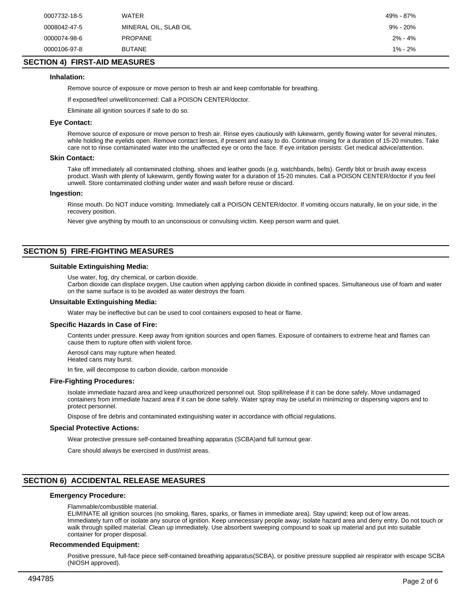| 0007732-18-5 | <b>WATER</b>          | 49% - 87%   |
|--------------|-----------------------|-------------|
| 0008042-47-5 | MINERAL OIL, SLAB OIL | 9% - 20%    |
| 0000074-98-6 | <b>PROPANE</b>        | $2\% - 4\%$ |
| 0000106-97-8 | <b>BUTANE</b>         | $1\% - 2\%$ |

# **SECTION 4) FIRST-AID MEASURES**

## **Inhalation:**

Remove source of exposure or move person to fresh air and keep comfortable for breathing.

If exposed/feel unwell/concerned: Call a POISON CENTER/doctor.

Eliminate all ignition sources if safe to do so.

## **Eye Contact:**

Remove source of exposure or move person to fresh air. Rinse eyes cautiously with lukewarm, gently flowing water for several minutes, while holding the eyelids open. Remove contact lenses, if present and easy to do. Continue rinsing for a duration of 15-20 minutes. Take care not to rinse contaminated water into the unaffected eye or onto the face. If eye irritation persists: Get medical advice/attention.

#### **Skin Contact:**

Take off immediately all contaminated clothing, shoes and leather goods (e.g. watchbands, belts). Gently blot or brush away excess product. Wash with plenty of lukewarm, gently flowing water for a duration of 15-20 minutes. Call a POISON CENTER/doctor if you feel unwell. Store contaminated clothing under water and wash before reuse or discard.

#### **Ingestion:**

Rinse mouth. Do NOT induce vomiting. Immediately call a POISON CENTER/doctor. If vomiting occurs naturally, lie on your side, in the recovery position.

Never give anything by mouth to an unconscious or convulsing victim. Keep person warm and quiet.

# **SECTION 5) FIRE-FIGHTING MEASURES**

## **Suitable Extinguishing Media:**

Use water, fog, dry chemical, or carbon dioxide.

Carbon dioxide can displace oxygen. Use caution when applying carbon dioxide in confined spaces. Simultaneous use of foam and water on the same surface is to be avoided as water destroys the foam.

## **Unsuitable Extinguishing Media:**

Water may be ineffective but can be used to cool containers exposed to heat or flame.

#### **Specific Hazards in Case of Fire:**

Contents under pressure. Keep away from ignition sources and open flames. Exposure of containers to extreme heat and flames can cause them to rupture often with violent force.

Aerosol cans may rupture when heated.

Heated cans may burst.

In fire, will decompose to carbon dioxide, carbon monoxide

## **Fire-Fighting Procedures:**

Isolate immediate hazard area and keep unauthorized personnel out. Stop spill/release if it can be done safely. Move undamaged containers from immediate hazard area if it can be done safely. Water spray may be useful in minimizing or dispersing vapors and to protect personnel.

Dispose of fire debris and contaminated extinguishing water in accordance with official regulations.

#### **Special Protective Actions:**

Wear protective pressure self-contained breathing apparatus (SCBA)and full turnout gear.

Care should always be exercised in dust/mist areas.

# **SECTION 6) ACCIDENTAL RELEASE MEASURES**

## **Emergency Procedure:**

#### Flammable/combustible material.

ELIMINATE all ignition sources (no smoking, flares, sparks, or flames in immediate area). Stay upwind; keep out of low areas. Immediately turn off or isolate any source of ignition. Keep unnecessary people away; isolate hazard area and deny entry. Do not touch or walk through spilled material. Clean up immediately. Use absorbent sweeping compound to soak up material and put into suitable container for proper disposal.

#### **Recommended Equipment:**

Positive pressure, full-face piece self-contained breathing apparatus(SCBA), or positive pressure supplied air respirator with escape SCBA (NIOSH approved).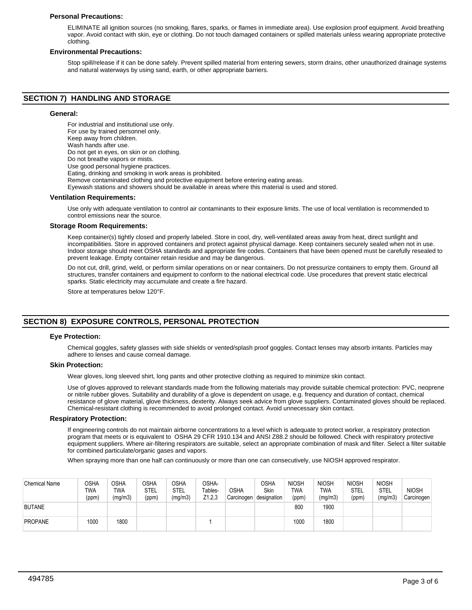## **Personal Precautions:**

ELIMINATE all ignition sources (no smoking, flares, sparks, or flames in immediate area). Use explosion proof equipment. Avoid breathing vapor. Avoid contact with skin, eye or clothing. Do not touch damaged containers or spilled materials unless wearing appropriate protective clothing.

## **Environmental Precautions:**

Stop spill/release if it can be done safely. Prevent spilled material from entering sewers, storm drains, other unauthorized drainage systems and natural waterways by using sand, earth, or other appropriate barriers.

# **SECTION 7) HANDLING AND STORAGE**

## **General:**

For industrial and institutional use only. For use by trained personnel only. Keep away from children. Wash hands after use. Do not get in eyes, on skin or on clothing. Do not breathe vapors or mists. Use good personal hygiene practices. Eating, drinking and smoking in work areas is prohibited. Remove contaminated clothing and protective equipment before entering eating areas. Eyewash stations and showers should be available in areas where this material is used and stored.

#### **Ventilation Requirements:**

Use only with adequate ventilation to control air contaminants to their exposure limits. The use of local ventilation is recommended to control emissions near the source.

#### **Storage Room Requirements:**

Keep container(s) tightly closed and properly labeled. Store in cool, dry, well-ventilated areas away from heat, direct sunlight and incompatibilities. Store in approved containers and protect against physical damage. Keep containers securely sealed when not in use. Indoor storage should meet OSHA standards and appropriate fire codes. Containers that have been opened must be carefully resealed to prevent leakage. Empty container retain residue and may be dangerous.

Do not cut, drill, grind, weld, or perform similar operations on or near containers. Do not pressurize containers to empty them. Ground all structures, transfer containers and equipment to conform to the national electrical code. Use procedures that prevent static electrical sparks. Static electricity may accumulate and create a fire hazard.

Store at temperatures below 120°F.

# **SECTION 8) EXPOSURE CONTROLS, PERSONAL PROTECTION**

## **Eye Protection:**

Chemical goggles, safety glasses with side shields or vented/splash proof goggles. Contact lenses may absorb irritants. Particles may adhere to lenses and cause corneal damage.

#### **Skin Protection:**

Wear gloves, long sleeved shirt, long pants and other protective clothing as required to minimize skin contact.

Use of gloves approved to relevant standards made from the following materials may provide suitable chemical protection: PVC, neoprene or nitrile rubber gloves. Suitability and durability of a glove is dependent on usage, e.g. frequency and duration of contact, chemical resistance of glove material, glove thickness, dexterity. Always seek advice from glove suppliers. Contaminated gloves should be replaced. Chemical-resistant clothing is recommended to avoid prolonged contact. Avoid unnecessary skin contact.

#### **Respiratory Protection:**

If engineering controls do not maintain airborne concentrations to a level which is adequate to protect worker, a respiratory protection program that meets or is equivalent to OSHA 29 CFR 1910.134 and ANSI Z88.2 should be followed. Check with respiratory protective equipment suppliers. Where air-filtering respirators are suitable, select an appropriate combination of mask and filter. Select a filter suitable for combined particulate/organic gases and vapors.

When spraying more than one half can continuously or more than one can consecutively, use NIOSH approved respirator.

| <b>Chemical Name</b> | OSHA<br>TWA<br>(ppm) | OSHA<br>TWA<br>(mg/m3) | <b>OSHA</b><br>STEL<br>(ppm) | <b>OSHA</b><br>STEL<br>(mg/m3) | OSHA-<br>Tables-<br>Z1,2,3 | <b>OSHA</b><br>Carcinogen | OSHA<br>Skin<br>designation | <b>NIOSH</b><br><b>TWA</b><br>(ppm) | <b>NIOSH</b><br>TWA<br>(mg/m3) | <b>NIOSH</b><br>STEL<br>(ppm) | <b>NIOSH</b><br><b>STEL</b><br>(mg/m3) | <b>NIOSH</b><br>Carcinogen |
|----------------------|----------------------|------------------------|------------------------------|--------------------------------|----------------------------|---------------------------|-----------------------------|-------------------------------------|--------------------------------|-------------------------------|----------------------------------------|----------------------------|
| <b>BUTANE</b>        |                      |                        |                              |                                |                            |                           |                             | 800                                 | 1900                           |                               |                                        |                            |
| <b>PROPANE</b>       | 1000                 | 1800                   |                              |                                |                            |                           |                             | 1000                                | 1800                           |                               |                                        |                            |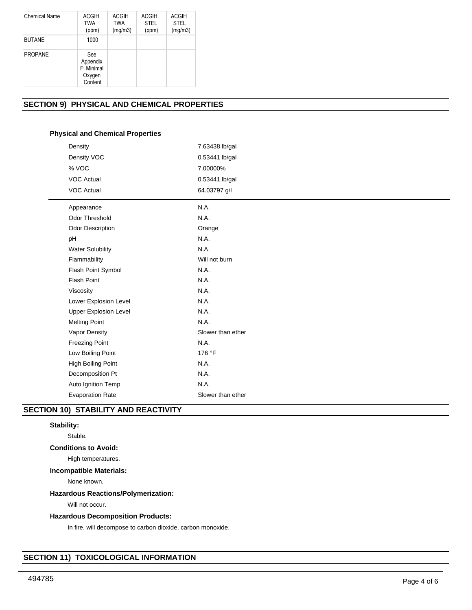| Chemical Name  | <b>ACGIH</b><br><b>TWA</b><br>(ppm)                | <b>ACGIH</b><br><b>TWA</b><br>(mg/m3) | <b>ACGIH</b><br><b>STEL</b><br>(ppm) | <b>ACGIH</b><br><b>STEL</b><br>(mg/m3) |
|----------------|----------------------------------------------------|---------------------------------------|--------------------------------------|----------------------------------------|
| <b>BUTANE</b>  | 1000                                               |                                       |                                      |                                        |
| <b>PROPANE</b> | See<br>Appendix<br>F: Minimal<br>Oxygen<br>Content |                                       |                                      |                                        |

# **SECTION 9) PHYSICAL AND CHEMICAL PROPERTIES**

# **Physical and Chemical Properties**

| Density                      | 7.63438 lb/gal    |
|------------------------------|-------------------|
| Density VOC                  | 0.53441 lb/gal    |
| % VOC                        | 7.00000%          |
| <b>VOC Actual</b>            | 0.53441 lb/gal    |
| <b>VOC Actual</b>            | 64.03797 g/l      |
| Appearance                   | N.A.              |
| <b>Odor Threshold</b>        | N.A.              |
| Odor Description             | Orange            |
| pH                           | N.A.              |
| <b>Water Solubility</b>      | N.A.              |
| Flammability                 | Will not burn     |
| Flash Point Symbol           | N.A.              |
| <b>Flash Point</b>           | N.A.              |
| Viscosity                    | N.A.              |
| Lower Explosion Level        | N.A.              |
| <b>Upper Explosion Level</b> | N.A.              |
| <b>Melting Point</b>         | N.A.              |
| Vapor Density                | Slower than ether |
| <b>Freezing Point</b>        | N.A.              |
| Low Boiling Point            | 176 °F            |
| High Boiling Point           | N.A.              |
| Decomposition Pt             | N.A.              |
| Auto Ignition Temp           | N.A.              |
| <b>Evaporation Rate</b>      | Slower than ether |
|                              |                   |

# **SECTION 10) STABILITY AND REACTIVITY**

# **Stability:**

Stable.

# **Conditions to Avoid:**

High temperatures.

# **Incompatible Materials:**

None known.

# **Hazardous Reactions/Polymerization:**

Will not occur.

# **Hazardous Decomposition Products:**

In fire, will decompose to carbon dioxide, carbon monoxide.

# **SECTION 11) TOXICOLOGICAL INFORMATION**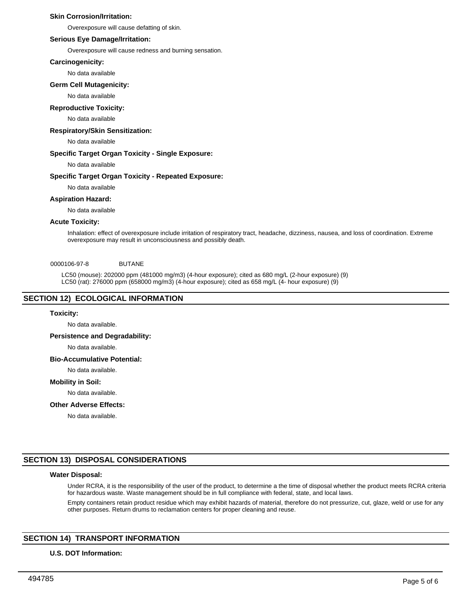## **Skin Corrosion/Irritation:**

Overexposure will cause defatting of skin.

## **Serious Eye Damage/Irritation:**

Overexposure will cause redness and burning sensation.

## **Carcinogenicity:**

No data available

## **Germ Cell Mutagenicity:**

No data available

## **Reproductive Toxicity:**

No data available

# **Respiratory/Skin Sensitization:**

No data available

## **Specific Target Organ Toxicity - Single Exposure:**

No data available

# **Specific Target Organ Toxicity - Repeated Exposure:**

No data available

## **Aspiration Hazard:**

No data available

## **Acute Toxicity:**

Inhalation: effect of overexposure include irritation of respiratory tract, headache, dizziness, nausea, and loss of coordination. Extreme overexposure may result in unconsciousness and possibly death.

## 0000106-97-8 BUTANE

LC50 (mouse): 202000 ppm (481000 mg/m3) (4-hour exposure); cited as 680 mg/L (2-hour exposure) (9) LC50 (rat): 276000 ppm (658000 mg/m3) (4-hour exposure); cited as 658 mg/L (4- hour exposure) (9)

# **SECTION 12) ECOLOGICAL INFORMATION**

# **Toxicity:**

No data available.

# **Persistence and Degradability:**

No data available.

## **Bio-Accumulative Potential:**

No data available.

## **Mobility in Soil:**

No data available.

#### **Other Adverse Effects:**

No data available.

# **SECTION 13) DISPOSAL CONSIDERATIONS**

# **Water Disposal:**

Under RCRA, it is the responsibility of the user of the product, to determine a the time of disposal whether the product meets RCRA criteria for hazardous waste. Waste management should be in full compliance with federal, state, and local laws.

Empty containers retain product residue which may exhibit hazards of material, therefore do not pressurize, cut, glaze, weld or use for any other purposes. Return drums to reclamation centers for proper cleaning and reuse.

# **SECTION 14) TRANSPORT INFORMATION**

## **U.S. DOT Information:**